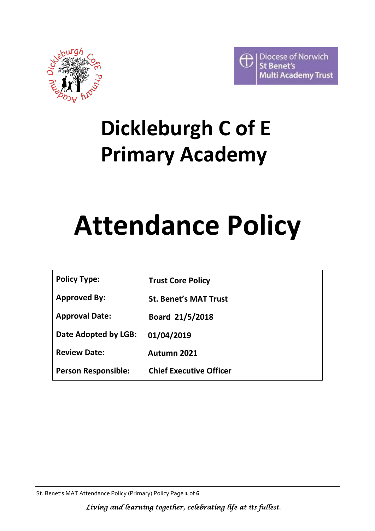



# **Dickleburgh C of E Primary Academy**

# **Attendance Policy**

| <b>Policy Type:</b> | <b>Trust Core Policy</b> |
|---------------------|--------------------------|
|---------------------|--------------------------|

**Approved By: St. Benet's MAT Trust** 

**Approval Date: Board 21/5/2018**

**Date Adopted by LGB: 01/04/2019**

**Review Date: Autumn 2021**

**Person Responsible: Chief Executive Officer**

St. Benet's MAT Attendance Policy (Primary) Policy Page **1** of **6**

 *Living and learning together, celebrating life at its fullest.*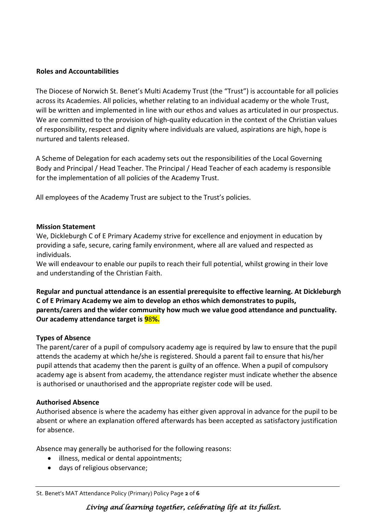#### **Roles and Accountabilities**

The Diocese of Norwich St. Benet's Multi Academy Trust (the "Trust") is accountable for all policies across its Academies. All policies, whether relating to an individual academy or the whole Trust, will be written and implemented in line with our ethos and values as articulated in our prospectus. We are committed to the provision of high-quality education in the context of the Christian values of responsibility, respect and dignity where individuals are valued, aspirations are high, hope is nurtured and talents released.

A Scheme of Delegation for each academy sets out the responsibilities of the Local Governing Body and Principal / Head Teacher. The Principal / Head Teacher of each academy is responsible for the implementation of all policies of the Academy Trust.

All employees of the Academy Trust are subject to the Trust's policies.

### **Mission Statement**

We, Dickleburgh C of E Primary Academy strive for excellence and enjoyment in education by providing a safe, secure, caring family environment, where all are valued and respected as individuals.

We will endeavour to enable our pupils to reach their full potential, whilst growing in their love and understanding of the Christian Faith.

**Regular and punctual attendance is an essential prerequisite to effective learning. At Dickleburgh C of E Primary Academy we aim to develop an ethos which demonstrates to pupils, parents/carers and the wider community how much we value good attendance and punctuality. Our academy attendance target is 9**8**%.**

# **Types of Absence**

The parent/carer of a pupil of compulsory academy age is required by law to ensure that the pupil attends the academy at which he/she is registered. Should a parent fail to ensure that his/her pupil attends that academy then the parent is guilty of an offence. When a pupil of compulsory academy age is absent from academy, the attendance register must indicate whether the absence is authorised or unauthorised and the appropriate register code will be used.

#### **Authorised Absence**

Authorised absence is where the academy has either given approval in advance for the pupil to be absent or where an explanation offered afterwards has been accepted as satisfactory justification for absence.

Absence may generally be authorised for the following reasons:

- illness, medical or dental appointments;
- days of religious observance;

St. Benet's MAT Attendance Policy (Primary) Policy Page **2** of **6**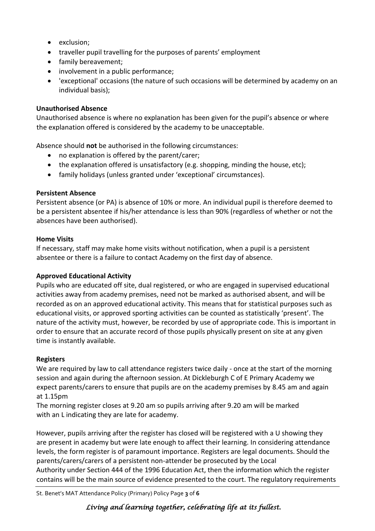- exclusion;
- traveller pupil travelling for the purposes of parents' employment
- family bereavement;
- involvement in a public performance;
- 'exceptional' occasions (the nature of such occasions will be determined by academy on an individual basis);

#### **Unauthorised Absence**

Unauthorised absence is where no explanation has been given for the pupil's absence or where the explanation offered is considered by the academy to be unacceptable.

Absence should **not** be authorised in the following circumstances:

- no explanation is offered by the parent/carer;
- the explanation offered is unsatisfactory (e.g. shopping, minding the house, etc);
- family holidays (unless granted under 'exceptional' circumstances).

#### **Persistent Absence**

Persistent absence (or PA) is absence of 10% or more. An individual pupil is therefore deemed to be a persistent absentee if his/her attendance is less than 90% (regardless of whether or not the absences have been authorised).

#### **Home Visits**

If necessary, staff may make home visits without notification, when a pupil is a persistent absentee or there is a failure to contact Academy on the first day of absence.

#### **Approved Educational Activity**

Pupils who are educated off site, dual registered, or who are engaged in supervised educational activities away from academy premises, need not be marked as authorised absent, and will be recorded as on an approved educational activity. This means that for statistical purposes such as educational visits, or approved sporting activities can be counted as statistically 'present'. The nature of the activity must, however, be recorded by use of appropriate code. This is important in order to ensure that an accurate record of those pupils physically present on site at any given time is instantly available.

#### **Registers**

We are required by law to call attendance registers twice daily - once at the start of the morning session and again during the afternoon session. At Dickleburgh C of E Primary Academy we expect parents/carers to ensure that pupils are on the academy premises by 8.45 am and again at 1.15pm

The morning register closes at 9.20 am so pupils arriving after 9.20 am will be marked with an L indicating they are late for academy.

However, pupils arriving after the register has closed will be registered with a U showing they are present in academy but were late enough to affect their learning. In considering attendance levels, the form register is of paramount importance. Registers are legal documents. Should the parents/carers/carers of a persistent non-attender be prosecuted by the Local Authority under Section 444 of the 1996 Education Act, then the information which the register contains will be the main source of evidence presented to the court. The regulatory requirements

St. Benet's MAT Attendance Policy (Primary) Policy Page **3** of **6**

# *Living and learning together, celebrating life at its fullest.*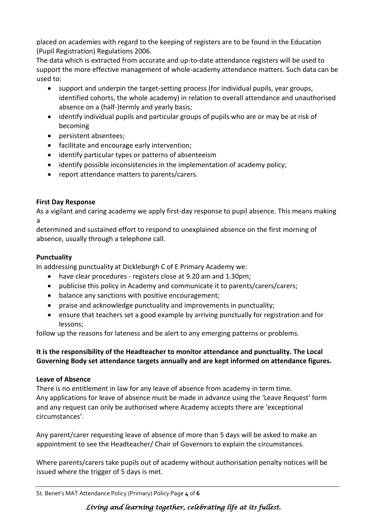placed on academies with regard to the keeping of registers are to be found in the Education (Pupil Registration) Regulations 2006.

The data which is extracted from accurate and up-to-date attendance registers will be used to support the more effective management of whole-academy attendance matters. Such data can be used to:

- support and underpin the target-setting process (for individual pupils, year groups, identified cohorts, the whole academy) in relation to overall attendance and unauthorised absence on a (half-)termly and yearly basis;
- identify individual pupils and particular groups of pupils who are or may be at risk of becoming
- persistent absentees;
- facilitate and encourage early intervention;
- identify particular types or patterns of absenteeism
- identify possible inconsistencies in the implementation of academy policy;
- report attendance matters to parents/carers.

# **First Day Response**

As a vigilant and caring academy we apply first-day response to pupil absence. This means making a

determined and sustained effort to respond to unexplained absence on the first morning of absence, usually through a telephone call.

# **Punctuality**

In addressing punctuality at Dickleburgh C of E Primary Academy we:

- have clear procedures registers close at 9.20 am and 1.30pm;
- publicise this policy in Academy and communicate it to parents/carers/carers;
- balance any sanctions with positive encouragement;
- praise and acknowledge punctuality and improvements in punctuality;
- ensure that teachers set a good example by arriving punctually for registration and for lessons;

follow up the reasons for lateness and be alert to any emerging patterns or problems.

# **It is the responsibility of the Headteacher to monitor attendance and punctuality. The Local Governing Body set attendance targets annually and are kept informed on attendance figures.**

# **Leave of Absence**

There is no entitlement in law for any leave of absence from academy in term time. Any applications for leave of absence must be made in advance using the 'Leave Request' form and any request can only be authorised where Academy accepts there are 'exceptional circumstances'.

Any parent/carer requesting leave of absence of more than 5 days will be asked to make an appointment to see the Headteacher/ Chair of Governors to explain the circumstances.

Where parents/carers take pupils out of academy without authorisation penalty notices will be issued where the trigger of 5 days is met.

St. Benet's MAT Attendance Policy (Primary) Policy Page **4** of **6**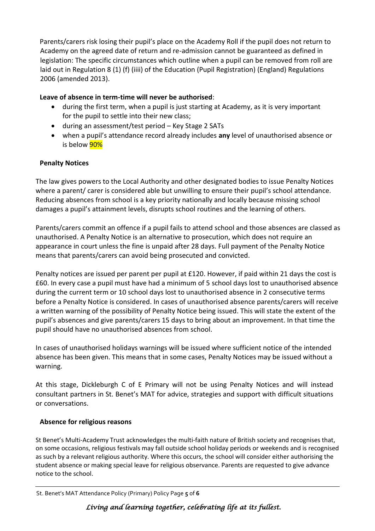Parents/carers risk losing their pupil's place on the Academy Roll if the pupil does not return to Academy on the agreed date of return and re-admission cannot be guaranteed as defined in legislation: The specific circumstances which outline when a pupil can be removed from roll are laid out in Regulation 8 (1) (f) (iiii) of the Education (Pupil Registration) (England) Regulations 2006 (amended 2013).

# **Leave of absence in term-time will never be authorised**:

- during the first term, when a pupil is just starting at Academy, as it is very important for the pupil to settle into their new class;
- during an assessment/test period Key Stage 2 SATs
- when a pupil's attendance record already includes **any** level of unauthorised absence or is below **90%**

# **Penalty Notices**

The law gives powers to the Local Authority and other designated bodies to issue Penalty Notices where a parent/ carer is considered able but unwilling to ensure their pupil's school attendance. Reducing absences from school is a key priority nationally and locally because missing school damages a pupil's attainment levels, disrupts school routines and the learning of others.

Parents/carers commit an offence if a pupil fails to attend school and those absences are classed as unauthorised. A Penalty Notice is an alternative to prosecution, which does not require an appearance in court unless the fine is unpaid after 28 days. Full payment of the Penalty Notice means that parents/carers can avoid being prosecuted and convicted.

Penalty notices are issued per parent per pupil at £120. However, if paid within 21 days the cost is £60. In every case a pupil must have had a minimum of 5 school days lost to unauthorised absence during the current term or 10 school days lost to unauthorised absence in 2 consecutive terms before a Penalty Notice is considered. In cases of unauthorised absence parents/carers will receive a written warning of the possibility of Penalty Notice being issued. This will state the extent of the pupil's absences and give parents/carers 15 days to bring about an improvement. In that time the pupil should have no unauthorised absences from school.

In cases of unauthorised holidays warnings will be issued where sufficient notice of the intended absence has been given. This means that in some cases, Penalty Notices may be issued without a warning.

At this stage, Dickleburgh C of E Primary will not be using Penalty Notices and will instead consultant partners in St. Benet's MAT for advice, strategies and support with difficult situations or conversations.

# **Absence for religious reasons**

St Benet's Multi-Academy Trust acknowledges the multi-faith nature of British society and recognises that, on some occasions, religious festivals may fall outside school holiday periods or weekends and is recognised as such by a relevant religious authority. Where this occurs, the school will consider either authorising the student absence or making special leave for religious observance. Parents are requested to give advance notice to the school.

#### St. Benet's MAT Attendance Policy (Primary) Policy Page **5** of **6**

# *Living and learning together, celebrating life at its fullest.*